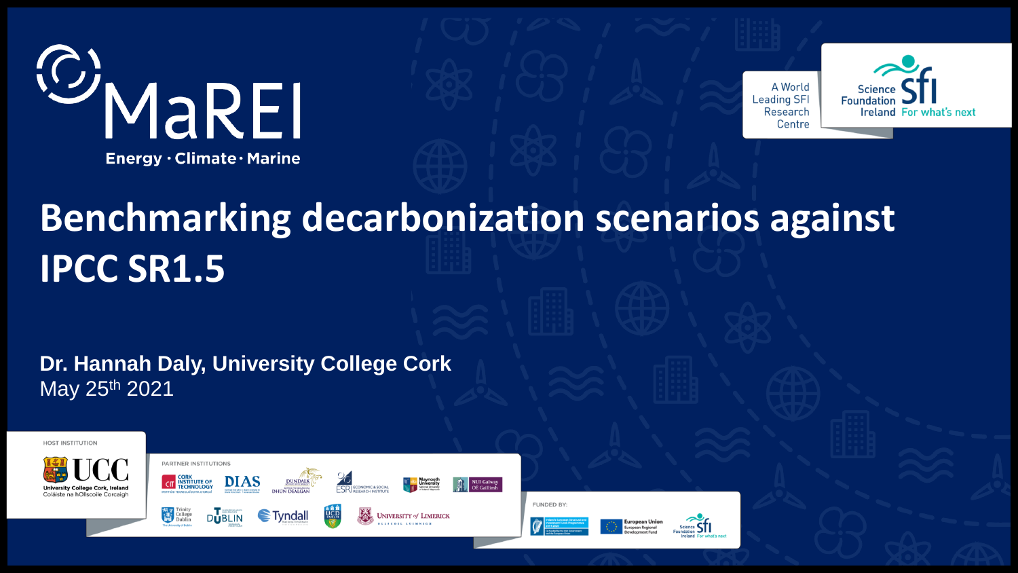



## **Benchmarking decarbonization scenarios against IPCC SR1.5**

**Dr. Hannah Daly, University College Cork** May 25th 2021







**DUBLIN** 

 $\epsilon$ Tyndall



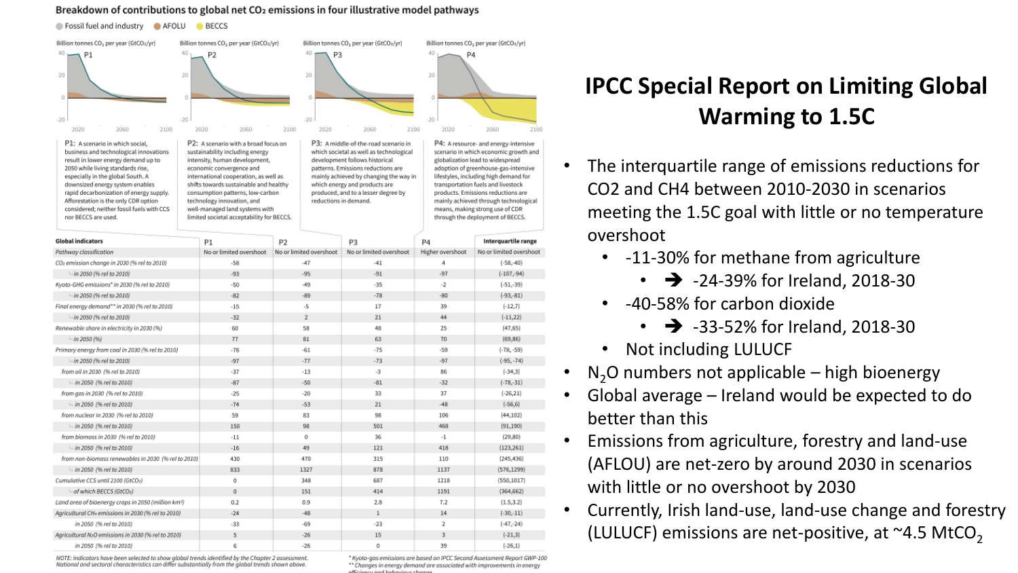#### Breakdown of contributions to global net CO<sub>2</sub> emissions in four illustrative model pathways

Fossil fuel and industry AFOLU BECCS



 $-26$ 

 $\Omega$ 

#### NOTE: Indicators have been selected to show alobal trends identified by the Chapter 2 assessment. National and sectoral characteristics can differ substantially from the global trends shown above.

in 2050 (% rel to 2010)

6

\* Kyoto-gas emissions are based on IPCC Second Assessment Report GWP-100 \*\* Changes in energy demand are associated with improvements in energy

 $(-26,1)$ 

39

### **IPCC Special Report on Limiting Global Warming to 1.5C**

- The interquartile range of emissions reductions for CO2 and CH4 between 2010-2030 in scenarios meeting the 1.5C goal with little or no temperature overshoot
	- -11-30% for methane from agriculture
		- $\cdot$   $\rightarrow$  -24-39% for Ireland, 2018-30
	- -40-58% for carbon dioxide
		- $\cdot$   $\rightarrow$  -33-52% for Ireland, 2018-30
	- Not including LULUCF
- $N<sub>2</sub>O$  numbers not applicable high bioenergy
- Global average Ireland would be expected to do better than this
- Emissions from agriculture, forestry and land-use (AFLOU) are net-zero by around 2030 in scenarios with little or no overshoot by 2030
- Currently, Irish land-use, land-use change and forestry (LULUCF) emissions are net-positive, at  $\sim$ 4.5 MtCO<sub>2</sub>